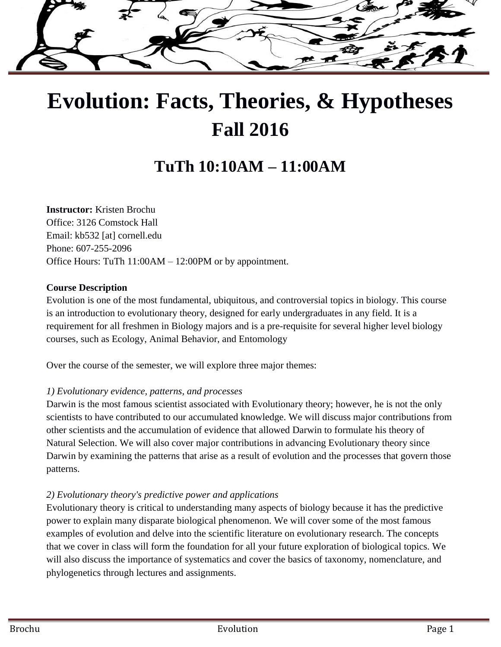

# **Evolution: Facts, Theories, & Hypotheses Fall 2016**

## **TuTh 10:10AM – 11:00AM**

**Instructor:** Kristen Brochu Office: 3126 Comstock Hall Email: kb532 [at] cornell.edu Phone: 607-255-2096 Office Hours: TuTh 11:00AM – 12:00PM or by appointment.

#### **Course Description**

Evolution is one of the most fundamental, ubiquitous, and controversial topics in biology. This course is an introduction to evolutionary theory, designed for early undergraduates in any field. It is a requirement for all freshmen in Biology majors and is a pre-requisite for several higher level biology courses, such as Ecology, Animal Behavior, and Entomology

Over the course of the semester, we will explore three major themes:

#### *1) Evolutionary evidence, patterns, and processes*

Darwin is the most famous scientist associated with Evolutionary theory; however, he is not the only scientists to have contributed to our accumulated knowledge. We will discuss major contributions from other scientists and the accumulation of evidence that allowed Darwin to formulate his theory of Natural Selection. We will also cover major contributions in advancing Evolutionary theory since Darwin by examining the patterns that arise as a result of evolution and the processes that govern those patterns.

#### *2) Evolutionary theory's predictive power and applications*

Evolutionary theory is critical to understanding many aspects of biology because it has the predictive power to explain many disparate biological phenomenon. We will cover some of the most famous examples of evolution and delve into the scientific literature on evolutionary research. The concepts that we cover in class will form the foundation for all your future exploration of biological topics. We will also discuss the importance of systematics and cover the basics of taxonomy, nomenclature, and phylogenetics through lectures and assignments.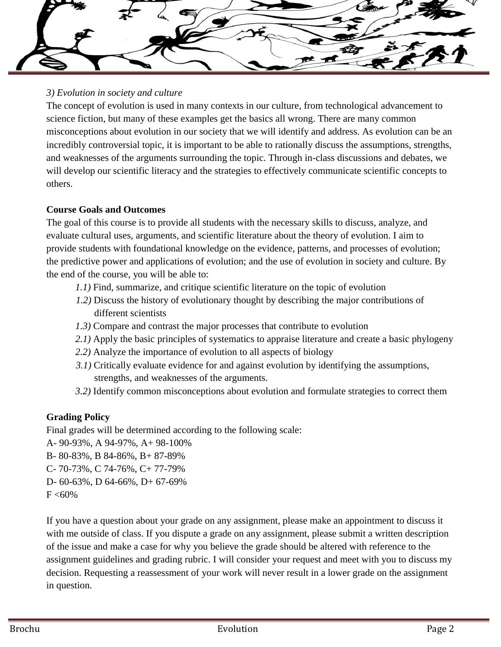

#### *3) Evolution in society and culture*

The concept of evolution is used in many contexts in our culture, from technological advancement to science fiction, but many of these examples get the basics all wrong. There are many common misconceptions about evolution in our society that we will identify and address. As evolution can be an incredibly controversial topic, it is important to be able to rationally discuss the assumptions, strengths, and weaknesses of the arguments surrounding the topic. Through in-class discussions and debates, we will develop our scientific literacy and the strategies to effectively communicate scientific concepts to others.

#### **Course Goals and Outcomes**

The goal of this course is to provide all students with the necessary skills to discuss, analyze, and evaluate cultural uses, arguments, and scientific literature about the theory of evolution. I aim to provide students with foundational knowledge on the evidence, patterns, and processes of evolution; the predictive power and applications of evolution; and the use of evolution in society and culture. By the end of the course, you will be able to:

- *1.1)* Find, summarize, and critique scientific literature on the topic of evolution
- *1.2)* Discuss the history of evolutionary thought by describing the major contributions of different scientists
- *1.3)* Compare and contrast the major processes that contribute to evolution
- *2.1)* Apply the basic principles of systematics to appraise literature and create a basic phylogeny
- *2.2)* Analyze the importance of evolution to all aspects of biology
- *3.1)* Critically evaluate evidence for and against evolution by identifying the assumptions, strengths, and weaknesses of the arguments.
- *3.2)* Identify common misconceptions about evolution and formulate strategies to correct them

#### **Grading Policy**

Final grades will be determined according to the following scale:

- A- 90-93%, A 94-97%, A+ 98-100%
- B- 80-83%, B 84-86%, B+ 87-89%
- C- 70-73%, C 74-76%, C+ 77-79%
- D- 60-63%, D 64-66%, D+ 67-69%

 $F < 60\%$ 

If you have a question about your grade on any assignment, please make an appointment to discuss it with me outside of class. If you dispute a grade on any assignment, please submit a written description of the issue and make a case for why you believe the grade should be altered with reference to the assignment guidelines and grading rubric. I will consider your request and meet with you to discuss my decision. Requesting a reassessment of your work will never result in a lower grade on the assignment in question.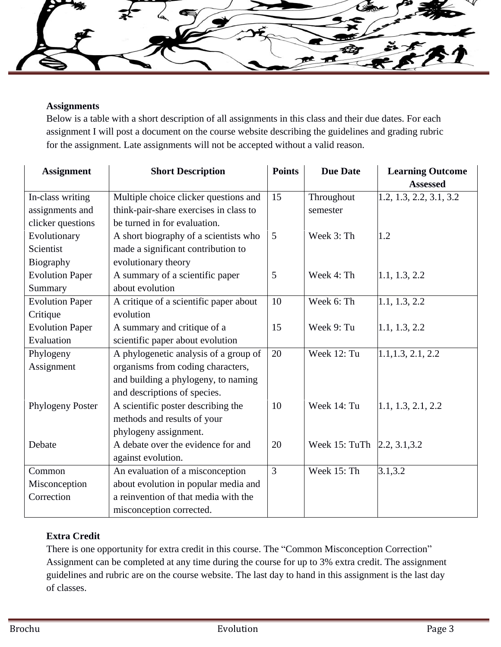#### **Assignments**

Below is a table with a short description of all assignments in this class and their due dates. For each assignment I will post a document on the course website describing the guidelines and grading rubric for the assignment. Late assignments will not be accepted without a valid reason.

| <b>Assignment</b>      | <b>Short Description</b>               | <b>Points</b> | <b>Due Date</b> | <b>Learning Outcome</b> |
|------------------------|----------------------------------------|---------------|-----------------|-------------------------|
|                        |                                        | 15            |                 | <b>Assessed</b>         |
| In-class writing       | Multiple choice clicker questions and  |               | Throughout      | 1.2, 1.3, 2.2, 3.1, 3.2 |
| assignments and        | think-pair-share exercises in class to |               | semester        |                         |
| clicker questions      | be turned in for evaluation.           |               |                 |                         |
| Evolutionary           | A short biography of a scientists who  | 5             | Week 3: Th      | 1.2                     |
| Scientist              | made a significant contribution to     |               |                 |                         |
| Biography              | evolutionary theory                    |               |                 |                         |
| <b>Evolution Paper</b> | A summary of a scientific paper        | 5             | Week 4: Th      | 1.1, 1.3, 2.2           |
| Summary                | about evolution                        |               |                 |                         |
| <b>Evolution Paper</b> | A critique of a scientific paper about | 10            | Week 6: Th      | 1.1, 1.3, 2.2           |
| Critique               | evolution                              |               |                 |                         |
| <b>Evolution Paper</b> | A summary and critique of a            | 15            | Week 9: Tu      | 1.1, 1.3, 2.2           |
| Evaluation             | scientific paper about evolution       |               |                 |                         |
| Phylogeny              | A phylogenetic analysis of a group of  | 20            | Week 12: Tu     | 1.1, 1.3, 2.1, 2.2      |
| Assignment             | organisms from coding characters,      |               |                 |                         |
|                        | and building a phylogeny, to naming    |               |                 |                         |
|                        | and descriptions of species.           |               |                 |                         |
| Phylogeny Poster       | A scientific poster describing the     | 10            | Week 14: Tu     | 1.1, 1.3, 2.1, 2.2      |
|                        | methods and results of your            |               |                 |                         |
|                        | phylogeny assignment.                  |               |                 |                         |
| Debate                 | A debate over the evidence for and     | 20            | Week 15: TuTh   | [2.2, 3.1, 3.2]         |
|                        | against evolution.                     |               |                 |                         |
| Common                 | An evaluation of a misconception       | 3             | Week 15: Th     | 3.1, 3.2                |
| Misconception          | about evolution in popular media and   |               |                 |                         |
| Correction             | a reinvention of that media with the   |               |                 |                         |
|                        | misconception corrected.               |               |                 |                         |

#### **Extra Credit**

There is one opportunity for extra credit in this course. The "Common Misconception Correction" Assignment can be completed at any time during the course for up to 3% extra credit. The assignment guidelines and rubric are on the course website. The last day to hand in this assignment is the last day of classes.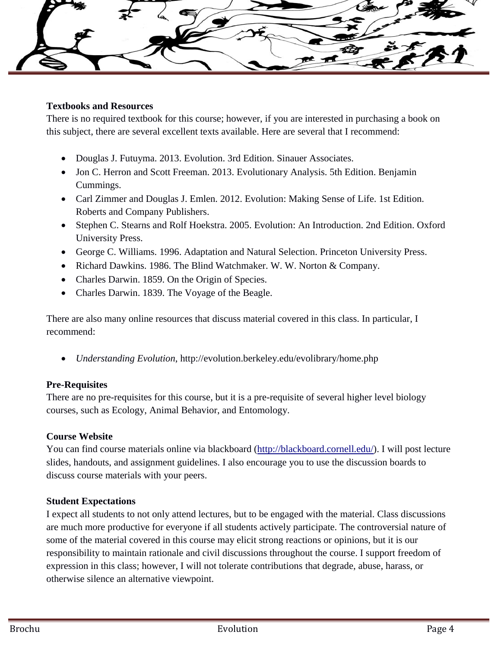

#### **Textbooks and Resources**

There is no required textbook for this course; however, if you are interested in purchasing a book on this subject, there are several excellent texts available. Here are several that I recommend:

- Douglas J. Futuyma. 2013. Evolution. 3rd Edition. Sinauer Associates.
- Jon C. Herron and Scott Freeman. 2013. Evolutionary Analysis. 5th Edition. Benjamin Cummings.
- Carl Zimmer and Douglas J. Emlen. 2012. Evolution: Making Sense of Life. 1st Edition. Roberts and Company Publishers.
- Stephen C. Stearns and Rolf Hoekstra. 2005. Evolution: An Introduction. 2nd Edition. Oxford University Press.
- George C. Williams. 1996. Adaptation and Natural Selection. Princeton University Press.
- Richard Dawkins. 1986. The Blind Watchmaker. W. W. Norton & Company.
- Charles Darwin. 1859. On the Origin of Species.
- Charles Darwin. 1839. The Voyage of the Beagle.

There are also many online resources that discuss material covered in this class. In particular, I recommend:

*Understanding Evolution*, http://evolution.berkeley.edu/evolibrary/home.php

#### **Pre-Requisites**

There are no pre-requisites for this course, but it is a pre-requisite of several higher level biology courses, such as Ecology, Animal Behavior, and Entomology.

#### **Course Website**

You can find course materials online via blackboard [\(http://blackboard.cornell.edu/\)](http://blackboard.cornell.edu/). I will post lecture slides, handouts, and assignment guidelines. I also encourage you to use the discussion boards to discuss course materials with your peers.

#### **Student Expectations**

I expect all students to not only attend lectures, but to be engaged with the material. Class discussions are much more productive for everyone if all students actively participate. The controversial nature of some of the material covered in this course may elicit strong reactions or opinions, but it is our responsibility to maintain rationale and civil discussions throughout the course. I support freedom of expression in this class; however, I will not tolerate contributions that degrade, abuse, harass, or otherwise silence an alternative viewpoint.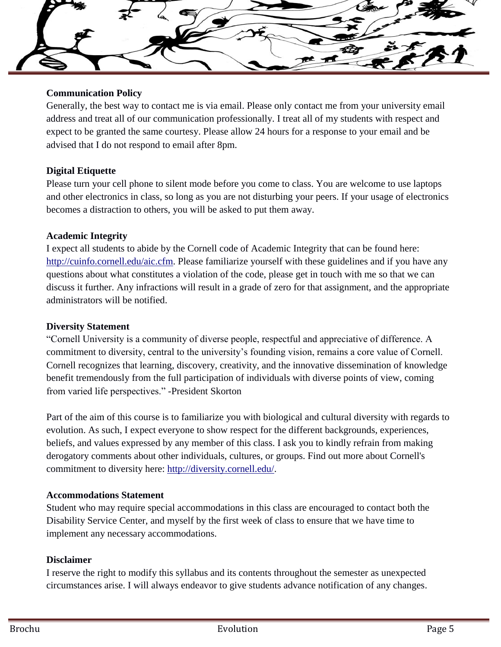

#### **Communication Policy**

Generally, the best way to contact me is via email. Please only contact me from your university email address and treat all of our communication professionally. I treat all of my students with respect and expect to be granted the same courtesy. Please allow 24 hours for a response to your email and be advised that I do not respond to email after 8pm.

#### **Digital Etiquette**

Please turn your cell phone to silent mode before you come to class. You are welcome to use laptops and other electronics in class, so long as you are not disturbing your peers. If your usage of electronics becomes a distraction to others, you will be asked to put them away.

#### **Academic Integrity**

I expect all students to abide by the Cornell code of Academic Integrity that can be found here: [http://cuinfo.cornell.edu/aic.cfm.](http://cuinfo.cornell.edu/aic.cfm) Please familiarize yourself with these guidelines and if you have any questions about what constitutes a violation of the code, please get in touch with me so that we can discuss it further. Any infractions will result in a grade of zero for that assignment, and the appropriate administrators will be notified.

#### **Diversity Statement**

"Cornell University is a community of diverse people, respectful and appreciative of difference. A commitment to diversity, central to the university's founding vision, remains a core value of Cornell. Cornell recognizes that learning, discovery, creativity, and the innovative dissemination of knowledge benefit tremendously from the full participation of individuals with diverse points of view, coming from varied life perspectives." -President Skorton

Part of the aim of this course is to familiarize you with biological and cultural diversity with regards to evolution. As such, I expect everyone to show respect for the different backgrounds, experiences, beliefs, and values expressed by any member of this class. I ask you to kindly refrain from making derogatory comments about other individuals, cultures, or groups. Find out more about Cornell's commitment to diversity here: [http://diversity.cornell.edu/.](http://diversity.cornell.edu/)

#### **Accommodations Statement**

Student who may require special accommodations in this class are encouraged to contact both the Disability Service Center, and myself by the first week of class to ensure that we have time to implement any necessary accommodations.

#### **Disclaimer**

I reserve the right to modify this syllabus and its contents throughout the semester as unexpected circumstances arise. I will always endeavor to give students advance notification of any changes.